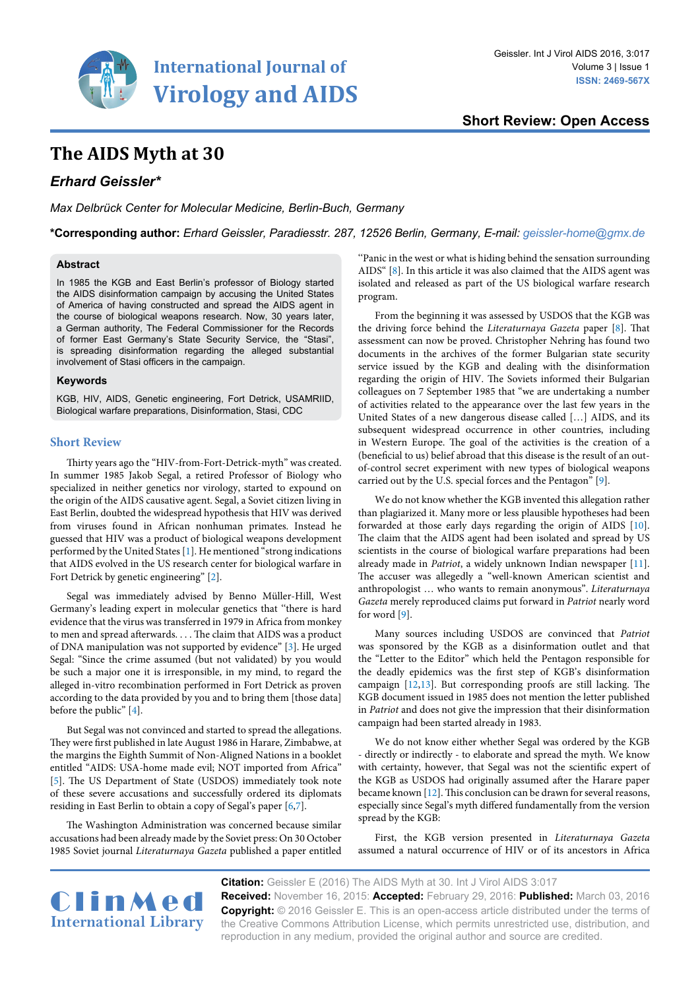

**Short Review: Open Access**

# **The AIDS Myth at 30**

# *Erhard Geissler\**

*Max Delbrück Center for Molecular Medicine, Berlin-Buch, Germany*

**\*Corresponding author:** *Erhard Geissler, Paradiesstr. 287, 12526 Berlin, Germany, E-mail: geissler-home@gmx.de*

### **Abstract**

In 1985 the KGB and East Berlin's professor of Biology started the AIDS disinformation campaign by accusing the United States of America of having constructed and spread the AIDS agent in the course of biological weapons research. Now, 30 years later, a German authority, The Federal Commissioner for the Records of former East Germany's State Security Service, the "Stasi", is spreading disinformation regarding the alleged substantial involvement of Stasi officers in the campaign.

#### **Keywords**

KGB, HIV, AIDS, Genetic engineering, Fort Detrick, USAMRIID, Biological warfare preparations, Disinformation, Stasi, CDC

# **Short Review**

Thirty years ago the "HIV-from-Fort-Detrick-myth" was created. In summer 1985 Jakob Segal, a retired Professor of Biology who specialized in neither genetics nor virology, started to expound on the origin of the AIDS causative agent. Segal, a Soviet citizen living in East Berlin, doubted the widespread hypothesis that HIV was derived from viruses found in African nonhuman primates. Instead he guessed that HIV was a product of biological weapons development performed by the United States [[1](#page-2-6)]. He mentioned "strong indications that AIDS evolved in the US research center for biological warfare in Fort Detrick by genetic engineering" [\[2\]](#page-2-7).

Segal was immediately advised by Benno Müller-Hill, West Germany's leading expert in molecular genetics that ''there is hard evidence that the virus was transferred in 1979 in Africa from monkey to men and spread afterwards. . . . The claim that AIDS was a product of DNA manipulation was not supported by evidence" [\[3](#page-2-8)]. He urged Segal: "Since the crime assumed (but not validated) by you would be such a major one it is irresponsible, in my mind, to regard the alleged in-vitro recombination performed in Fort Detrick as proven according to the data provided by you and to bring them [those data] before the public" [\[4](#page-2-9)].

But Segal was not convinced and started to spread the allegations. They were first published in late August 1986 in Harare, Zimbabwe, at the margins the Eighth Summit of Non-Aligned Nations in a booklet entitled "AIDS: USA-home made evil; NOT imported from Africa" [[5\]](#page-2-10). The US Department of State (USDOS) immediately took note of these severe accusations and successfully ordered its diplomats residing in East Berlin to obtain a copy of Segal's paper [\[6](#page-2-11),[7\]](#page-2-12).

The Washington Administration was concerned because similar accusations had been already made by the Soviet press: On 30 October 1985 Soviet journal *Literaturnaya Gazeta* published a paper entitled ''Panic in the west or what is hiding behind the sensation surrounding AIDS" [[8](#page-2-0)]. In this article it was also claimed that the AIDS agent was isolated and released as part of the US biological warfare research program.

From the beginning it was assessed by USDOS that the KGB was the driving force behind the *Literaturnaya Gazeta* paper [\[8\]](#page-2-0). That assessment can now be proved. Christopher Nehring has found two documents in the archives of the former Bulgarian state security service issued by the KGB and dealing with the disinformation regarding the origin of HIV. The Soviets informed their Bulgarian colleagues on 7 September 1985 that "we are undertaking a number of activities related to the appearance over the last few years in the United States of a new dangerous disease called […] AIDS, and its subsequent widespread occurrence in other countries, including in Western Europe. The goal of the activities is the creation of a (beneficial to us) belief abroad that this disease is the result of an outof-control secret experiment with new types of biological weapons carried out by the U.S. special forces and the Pentagon" [[9\]](#page-2-1).

We do not know whether the KGB invented this allegation rather than plagiarized it. Many more or less plausible hypotheses had been forwarded at those early days regarding the origin of AIDS [[10\]](#page-2-2). The claim that the AIDS agent had been isolated and spread by US scientists in the course of biological warfare preparations had been already made in *Patriot*, a widely unknown Indian newspaper [[11\]](#page-2-3). The accuser was allegedly a "well-known American scientist and anthropologist … who wants to remain anonymous". *Literaturnaya Gazeta* merely reproduced claims put forward in *Patriot* nearly word for word [\[9\]](#page-2-1).

Many sources including USDOS are convinced that *Patriot* was sponsored by the KGB as a disinformation outlet and that the "Letter to the Editor" which held the Pentagon responsible for the deadly epidemics was the first step of KGB's disinformation campaign [\[12,](#page-2-4)[13](#page-2-5)]. But corresponding proofs are still lacking. The KGB document issued in 1985 does not mention the letter published in *Patriot* and does not give the impression that their disinformation campaign had been started already in 1983.

We do not know either whether Segal was ordered by the KGB - directly or indirectly - to elaborate and spread the myth. We know with certainty, however, that Segal was not the scientific expert of the KGB as USDOS had originally assumed after the Harare paper became known [\[12\]](#page-2-4). This conclusion can be drawn for several reasons, especially since Segal's myth differed fundamentally from the version spread by the KGB:

First, the KGB version presented in *Literaturnaya Gazeta*  assumed a natural occurrence of HIV or of its ancestors in Africa



**Citation:** Geissler E (2016) The AIDS Myth at 30. Int J Virol AIDS 3:017 **Received:** November 16, 2015: **Accepted:** February 29, 2016: **Published:** March 03, 2016 **Copyright:** © 2016 Geissler E. This is an open-access article distributed under the terms of the Creative Commons Attribution License, which permits unrestricted use, distribution, and reproduction in any medium, provided the original author and source are credited.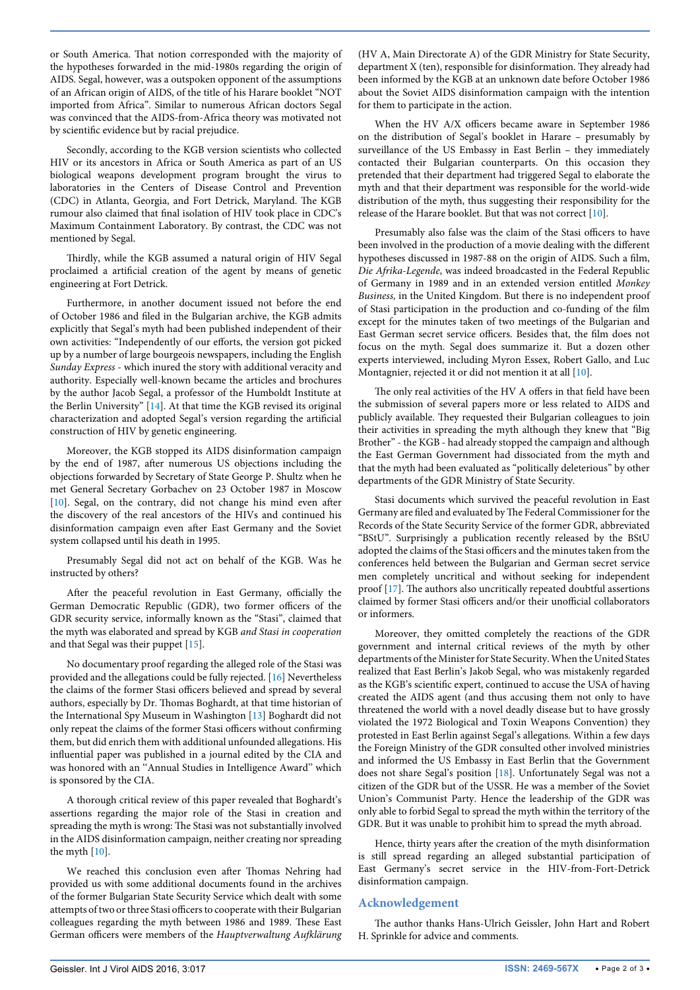or South America. That notion corresponded with the majority of the hypotheses forwarded in the mid-1980s regarding the origin of AIDS. Segal, however, was a outspoken opponent of the assumptions of an African origin of AIDS, of the title of his Harare booklet "NOT imported from Africa". Similar to numerous African doctors Segal was convinced that the AIDS-from-Africa theory was motivated not by scientific evidence but by racial prejudice.

Secondly, according to the KGB version scientists who collected HIV or its ancestors in Africa or South America as part of an US biological weapons development program brought the virus to laboratories in the Centers of Disease Control and Prevention (CDC) in Atlanta, Georgia, and Fort Detrick, Maryland. The KGB rumour also claimed that final isolation of HIV took place in CDC's Maximum Containment Laboratory. By contrast, the CDC was not mentioned by Segal.

Thirdly, while the KGB assumed a natural origin of HIV Segal proclaimed a artificial creation of the agent by means of genetic engineering at Fort Detrick.

Furthermore, in another document issued not before the end of October 1986 and filed in the Bulgarian archive, the KGB admits explicitly that Segal's myth had been published independent of their own activities: "Independently of our efforts, the version got picked up by a number of large bourgeois newspapers, including the English *Sunday Express* - which inured the story with additional veracity and authority. Especially well-known became the articles and brochures by the author Jacob Segal, a professor of the Humboldt Institute at the Berlin University" [\[14](#page-2-13)]. At that time the KGB revised its original characterization and adopted Segal's version regarding the artificial construction of HIV by genetic engineering.

Moreover, the KGB stopped its AIDS disinformation campaign by the end of 1987, after numerous US objections including the objections forwarded by Secretary of State George P. Shultz when he met General Secretary Gorbachev on 23 October 1987 in Moscow [[10](#page-2-2)]. Segal, on the contrary, did not change his mind even after the discovery of the real ancestors of the HIVs and continued his disinformation campaign even after East Germany and the Soviet system collapsed until his death in 1995.

Presumably Segal did not act on behalf of the KGB. Was he instructed by others?

After the peaceful revolution in East Germany, officially the German Democratic Republic (GDR), two former officers of the GDR security service, informally known as the "Stasi", claimed that the myth was elaborated and spread by KGB *and Stasi in cooperation* and that Segal was their puppet [\[15\]](#page-2-14).

No documentary proof regarding the alleged role of the Stasi was provided and the allegations could be fully rejected. [\[16\]](#page-2-15) Nevertheless the claims of the former Stasi officers believed and spread by several authors, especially by Dr. Thomas Boghardt, at that time historian of the International Spy Museum in Washington [[13](#page-2-5)] Boghardt did not only repeat the claims of the former Stasi officers without confirming them, but did enrich them with additional unfounded allegations. His influential paper was published in a journal edited by the CIA and was honored with an ''Annual Studies in Intelligence Award'' which is sponsored by the CIA.

A thorough critical review of this paper revealed that Boghardt's assertions regarding the major role of the Stasi in creation and spreading the myth is wrong: The Stasi was not substantially involved in the AIDS disinformation campaign, neither creating nor spreading the myth [\[10\]](#page-2-2).

We reached this conclusion even after Thomas Nehring had provided us with some additional documents found in the archives of the former Bulgarian State Security Service which dealt with some attempts of two or three Stasi officers to cooperate with their Bulgarian colleagues regarding the myth between 1986 and 1989. These East German officers were members of the *Hauptverwaltung Aufklärung*  (HV A, Main Directorate A) of the GDR Ministry for State Security, department X (ten), responsible for disinformation. They already had been informed by the KGB at an unknown date before October 1986 about the Soviet AIDS disinformation campaign with the intention for them to participate in the action.

When the HV A/X officers became aware in September 1986 on the distribution of Segal's booklet in Harare – presumably by surveillance of the US Embassy in East Berlin – they immediately contacted their Bulgarian counterparts. On this occasion they pretended that their department had triggered Segal to elaborate the myth and that their department was responsible for the world-wide distribution of the myth, thus suggesting their responsibility for the release of the Harare booklet. But that was not correct [[10](#page-2-2)].

Presumably also false was the claim of the Stasi officers to have been involved in the production of a movie dealing with the different hypotheses discussed in 1987-88 on the origin of AIDS. Such a film, *Die Afrika-Legende*, was indeed broadcasted in the Federal Republic of Germany in 1989 and in an extended version entitled *Monkey Business,* in the United Kingdom. But there is no independent proof of Stasi participation in the production and co-funding of the film except for the minutes taken of two meetings of the Bulgarian and East German secret service officers. Besides that, the film does not focus on the myth. Segal does summarize it. But a dozen other experts interviewed, including Myron Essex, Robert Gallo, and Luc Montagnier, rejected it or did not mention it at all [\[10\]](#page-2-2).

The only real activities of the HV A offers in that field have been the submission of several papers more or less related to AIDS and publicly available. They requested their Bulgarian colleagues to join their activities in spreading the myth although they knew that "Big Brother" - the KGB - had already stopped the campaign and although the East German Government had dissociated from the myth and that the myth had been evaluated as "politically deleterious" by other departments of the GDR Ministry of State Security.

Stasi documents which survived the peaceful revolution in East Germany are filed and evaluated by The Federal Commissioner for the Records of the State Security Service of the former GDR, abbreviated "BStU". Surprisingly a publication recently released by the BStU adopted the claims of the Stasi officers and the minutes taken from the conferences held between the Bulgarian and German secret service men completely uncritical and without seeking for independent proof [[17\]](#page-2-16). The authors also uncritically repeated doubtful assertions claimed by former Stasi officers and/or their unofficial collaborators or informers.

Moreover, they omitted completely the reactions of the GDR government and internal critical reviews of the myth by other departments of the Minister for State Security. When the United States realized that East Berlin's Jakob Segal, who was mistakenly regarded as the KGB's scientific expert, continued to accuse the USA of having created the AIDS agent (and thus accusing them not only to have threatened the world with a novel deadly disease but to have grossly violated the 1972 Biological and Toxin Weapons Convention) they protested in East Berlin against Segal's allegations. Within a few days the Foreign Ministry of the GDR consulted other involved ministries and informed the US Embassy in East Berlin that the Government does not share Segal's position [\[18\]](#page-2-17). Unfortunately Segal was not a citizen of the GDR but of the USSR. He was a member of the Soviet Union's Communist Party. Hence the leadership of the GDR was only able to forbid Segal to spread the myth within the territory of the GDR. But it was unable to prohibit him to spread the myth abroad.

Hence, thirty years after the creation of the myth disinformation is still spread regarding an alleged substantial participation of East Germany's secret service in the HIV-from-Fort-Detrick disinformation campaign.

# **Acknowledgement**

The author thanks Hans-Ulrich Geissler, John Hart and Robert H. Sprinkle for advice and comments.